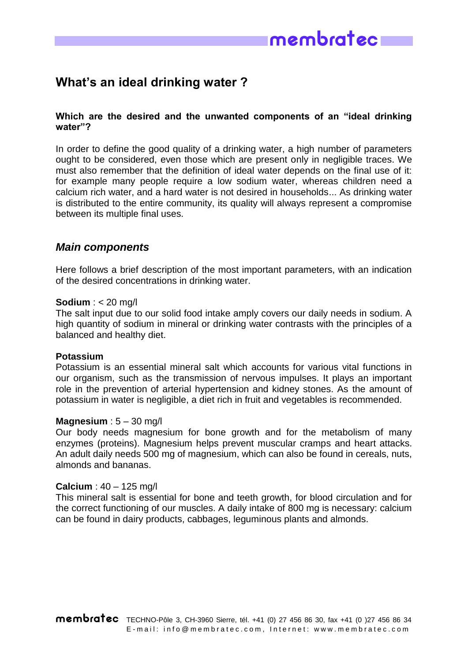

# **What's an ideal drinking water ?**

# **Which are the desired and the unwanted components of an "ideal drinking water"?**

In order to define the good quality of a drinking water, a high number of parameters ought to be considered, even those which are present only in negligible traces. We must also remember that the definition of ideal water depends on the final use of it: for example many people require a low sodium water, whereas children need a calcium rich water, and a hard water is not desired in households... As drinking water is distributed to the entire community, its quality will always represent a compromise between its multiple final uses.

# *Main components*

Here follows a brief description of the most important parameters, with an indication of the desired concentrations in drinking water.

#### **Sodium** : < 20 mg/l

The salt input due to our solid food intake amply covers our daily needs in sodium. A high quantity of sodium in mineral or drinking water contrasts with the principles of a balanced and healthy diet.

#### **Potassium**

Potassium is an essential mineral salt which accounts for various vital functions in our organism, such as the transmission of nervous impulses. It plays an important role in the prevention of arterial hypertension and kidney stones. As the amount of potassium in water is negligible, a diet rich in fruit and vegetables is recommended.

#### **Magnesium** : 5 – 30 mg/l

Our body needs magnesium for bone growth and for the metabolism of many enzymes (proteins). Magnesium helps prevent muscular cramps and heart attacks. An adult daily needs 500 mg of magnesium, which can also be found in cereals, nuts, almonds and bananas.

#### **Calcium** : 40 – 125 mg/l

This mineral salt is essential for bone and teeth growth, for blood circulation and for the correct functioning of our muscles. A daily intake of 800 mg is necessary: calcium can be found in dairy products, cabbages, leguminous plants and almonds.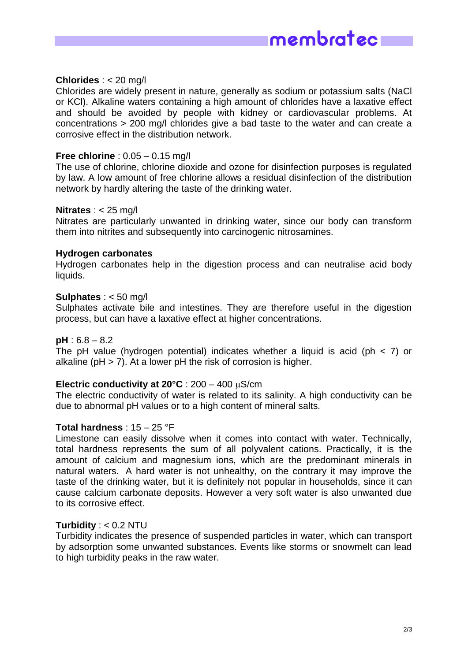

#### **Chlorides** : < 20 mg/l

Chlorides are widely present in nature, generally as sodium or potassium salts (NaCl or KCl). Alkaline waters containing a high amount of chlorides have a laxative effect and should be avoided by people with kidney or cardiovascular problems. At concentrations > 200 mg/l chlorides give a bad taste to the water and can create a corrosive effect in the distribution network.

#### **Free chlorine** : 0.05 – 0.15 mg/l

The use of chlorine, chlorine dioxide and ozone for disinfection purposes is regulated by law. A low amount of free chlorine allows a residual disinfection of the distribution network by hardly altering the taste of the drinking water.

#### **Nitrates** : < 25 mg/l

Nitrates are particularly unwanted in drinking water, since our body can transform them into nitrites and subsequently into carcinogenic nitrosamines.

#### **Hydrogen carbonates**

Hydrogen carbonates help in the digestion process and can neutralise acid body liquids.

#### **Sulphates** : < 50 mg/l

Sulphates activate bile and intestines. They are therefore useful in the digestion process, but can have a laxative effect at higher concentrations.

#### **pH** : 6.8 – 8.2

The pH value (hydrogen potential) indicates whether a liquid is acid (ph  $<$  7) or alkaline ( $pH > 7$ ). At a lower  $pH$  the risk of corrosion is higher.

#### **Electric conductivity at**  $20^{\circ}$ **C** :  $200 - 400 \text{ uS/cm}$

The electric conductivity of water is related to its salinity. A high conductivity can be due to abnormal pH values or to a high content of mineral salts.

#### **Total hardness** : 15 – 25 °F

Limestone can easily dissolve when it comes into contact with water. Technically, total hardness represents the sum of all polyvalent cations. Practically, it is the amount of calcium and magnesium ions, which are the predominant minerals in natural waters. A hard water is not unhealthy, on the contrary it may improve the taste of the drinking water, but it is definitely not popular in households, since it can cause calcium carbonate deposits. However a very soft water is also unwanted due to its corrosive effect.

#### **Turbidity** : < 0.2 NTU

Turbidity indicates the presence of suspended particles in water, which can transport by adsorption some unwanted substances. Events like storms or snowmelt can lead to high turbidity peaks in the raw water.